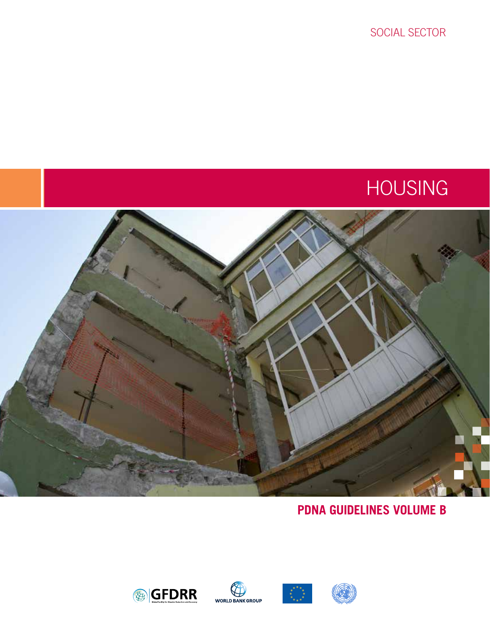SOCIAL SECTOR

# HOUSING



WORLD BANK GROUP

**SFDRR** 

## **PDNA GUIDELINES VOLUME B**





































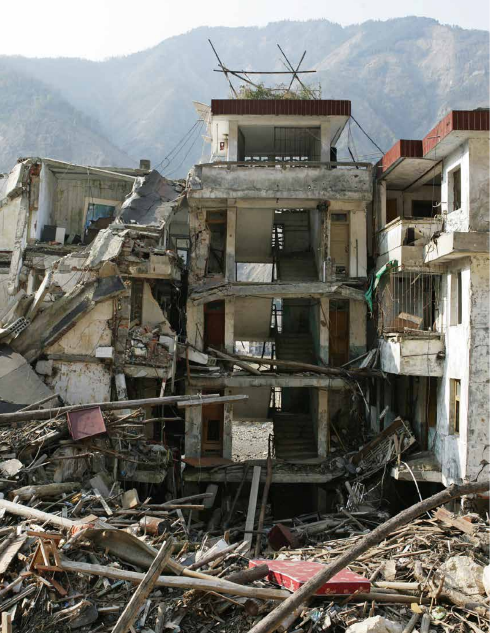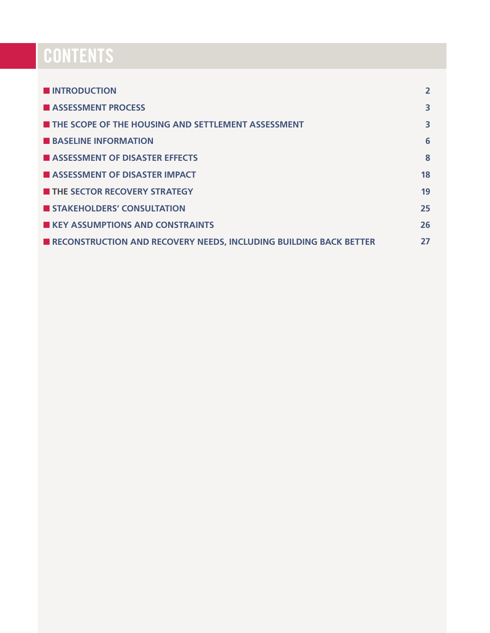# **CONTENTS**

| <b>INTRODUCTION</b>                                               | $\overline{2}$ |
|-------------------------------------------------------------------|----------------|
| ASSESSMENT PROCESS                                                | 3              |
| <b>THE SCOPE OF THE HOUSING AND SETTLEMENT ASSESSMENT</b>         | 3              |
| <b>BASELINE INFORMATION</b>                                       | 6              |
| <b>ASSESSMENT OF DISASTER EFFECTS</b>                             | 8              |
| <b>ASSESSMENT OF DISASTER IMPACT</b>                              | 18             |
| <b>THE SECTOR RECOVERY STRATEGY</b>                               | 19             |
| STAKEHOLDERS' CONSULTATION                                        | 25             |
| <b>EXECUTE ENDING IN EXAMPLE AND CONSTRAINTS</b>                  | 26             |
| RECONSTRUCTION AND RECOVERY NEEDS, INCLUDING BUILDING BACK BETTER | 27             |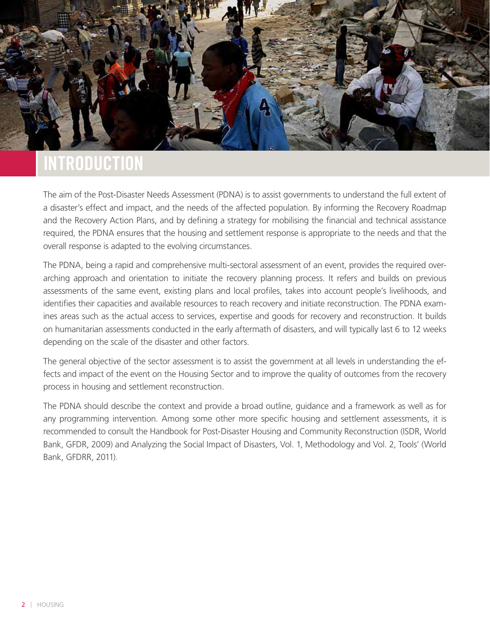

## INTRODUCTION

The aim of the Post-Disaster Needs Assessment (PDNA) is to assist governments to understand the full extent of a disaster's effect and impact, and the needs of the affected population. By informing the Recovery Roadmap and the Recovery Action Plans, and by defining a strategy for mobilising the financial and technical assistance required, the PDNA ensures that the housing and settlement response is appropriate to the needs and that the overall response is adapted to the evolving circumstances.

The PDNA, being a rapid and comprehensive multi-sectoral assessment of an event, provides the required overarching approach and orientation to initiate the recovery planning process. It refers and builds on previous assessments of the same event, existing plans and local profiles, takes into account people's livelihoods, and identifies their capacities and available resources to reach recovery and initiate reconstruction. The PDNA examines areas such as the actual access to services, expertise and goods for recovery and reconstruction. It builds on humanitarian assessments conducted in the early aftermath of disasters, and will typically last 6 to 12 weeks depending on the scale of the disaster and other factors.

The general objective of the sector assessment is to assist the government at all levels in understanding the effects and impact of the event on the Housing Sector and to improve the quality of outcomes from the recovery process in housing and settlement reconstruction.

The PDNA should describe the context and provide a broad outline, guidance and a framework as well as for any programming intervention. Among some other more specific housing and settlement assessments, it is recommended to consult the Handbook for Post-Disaster Housing and Community Reconstruction (ISDR, World Bank, GFDR, 2009) and Analyzing the Social Impact of Disasters, Vol. 1, Methodology and Vol. 2, Tools' (World Bank, GFDRR, 2011).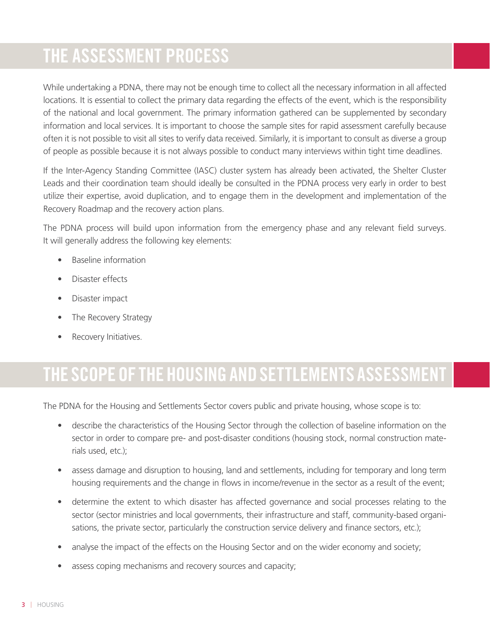# THE ASSESSMENT PROCESS

While undertaking a PDNA, there may not be enough time to collect all the necessary information in all affected locations. It is essential to collect the primary data regarding the effects of the event, which is the responsibility of the national and local government. The primary information gathered can be supplemented by secondary information and local services. It is important to choose the sample sites for rapid assessment carefully because often it is not possible to visit all sites to verify data received. Similarly, it is important to consult as diverse a group of people as possible because it is not always possible to conduct many interviews within tight time deadlines.

If the Inter-Agency Standing Committee (IASC) cluster system has already been activated, the Shelter Cluster Leads and their coordination team should ideally be consulted in the PDNA process very early in order to best utilize their expertise, avoid duplication, and to engage them in the development and implementation of the Recovery Roadmap and the recovery action plans.

The PDNA process will build upon information from the emergency phase and any relevant field surveys. It will generally address the following key elements:

- Baseline information
- Disaster effects
- Disaster impact
- The Recovery Strategy
- Recovery Initiatives.

# THE SCOPE OF THE HOUSING AND SETTLEMENTS ASSESSMENT

The PDNA for the Housing and Settlements Sector covers public and private housing, whose scope is to:

- describe the characteristics of the Housing Sector through the collection of baseline information on the sector in order to compare pre- and post-disaster conditions (housing stock, normal construction materials used, etc.);
- assess damage and disruption to housing, land and settlements, including for temporary and long term housing requirements and the change in flows in income/revenue in the sector as a result of the event;
- determine the extent to which disaster has affected governance and social processes relating to the sector (sector ministries and local governments, their infrastructure and staff, community-based organisations, the private sector, particularly the construction service delivery and finance sectors, etc.);
- analyse the impact of the effects on the Housing Sector and on the wider economy and society;
- assess coping mechanisms and recovery sources and capacity;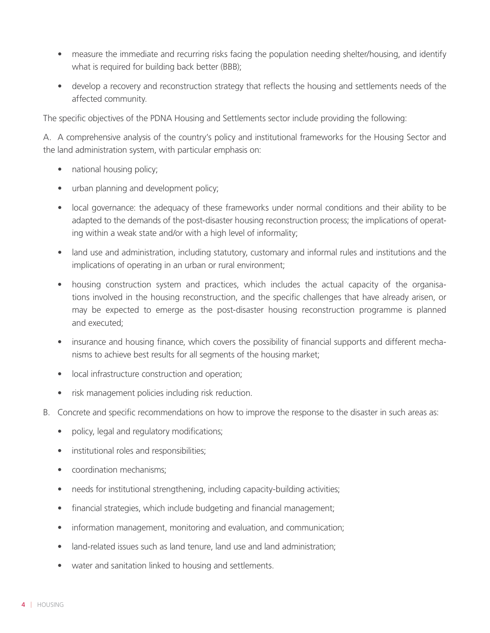- measure the immediate and recurring risks facing the population needing shelter/housing, and identify what is required for building back better (BBB);
- develop a recovery and reconstruction strategy that reflects the housing and settlements needs of the affected community.

The specific objectives of the PDNA Housing and Settlements sector include providing the following:

A. A comprehensive analysis of the country's policy and institutional frameworks for the Housing Sector and the land administration system, with particular emphasis on:

- national housing policy;
- urban planning and development policy;
- local governance: the adequacy of these frameworks under normal conditions and their ability to be adapted to the demands of the post-disaster housing reconstruction process; the implications of operating within a weak state and/or with a high level of informality;
- land use and administration, including statutory, customary and informal rules and institutions and the implications of operating in an urban or rural environment;
- housing construction system and practices, which includes the actual capacity of the organisations involved in the housing reconstruction, and the specific challenges that have already arisen, or may be expected to emerge as the post-disaster housing reconstruction programme is planned and executed;
- insurance and housing finance, which covers the possibility of financial supports and different mechanisms to achieve best results for all segments of the housing market;
- local infrastructure construction and operation;
- risk management policies including risk reduction.
- B. Concrete and specific recommendations on how to improve the response to the disaster in such areas as:
	- policy, legal and regulatory modifications;
	- institutional roles and responsibilities;
	- coordination mechanisms:
	- needs for institutional strengthening, including capacity-building activities;
	- financial strategies, which include budgeting and financial management;
	- information management, monitoring and evaluation, and communication;
	- land-related issues such as land tenure, land use and land administration;
	- water and sanitation linked to housing and settlements.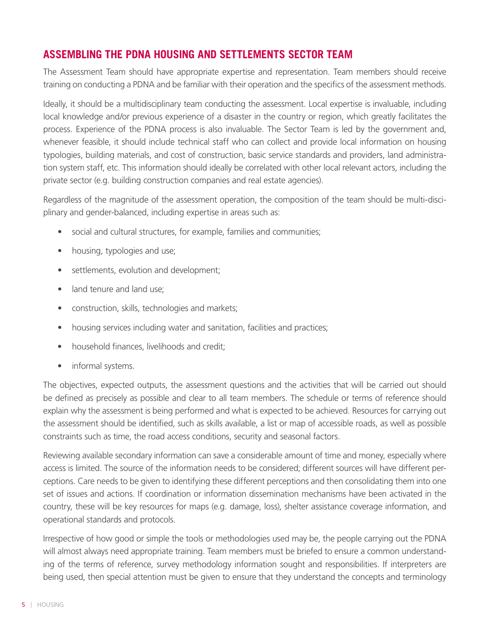## **ASSEMBLING THE PDNA HOUSING AND SETTLEMENTS SECTOR TEAM**

The Assessment Team should have appropriate expertise and representation. Team members should receive training on conducting a PDNA and be familiar with their operation and the specifics of the assessment methods.

Ideally, it should be a multidisciplinary team conducting the assessment. Local expertise is invaluable, including local knowledge and/or previous experience of a disaster in the country or region, which greatly facilitates the process. Experience of the PDNA process is also invaluable. The Sector Team is led by the government and, whenever feasible, it should include technical staff who can collect and provide local information on housing typologies, building materials, and cost of construction, basic service standards and providers, land administration system staff, etc. This information should ideally be correlated with other local relevant actors, including the private sector (e.g. building construction companies and real estate agencies).

Regardless of the magnitude of the assessment operation, the composition of the team should be multi-disciplinary and gender-balanced, including expertise in areas such as:

- social and cultural structures, for example, families and communities;
- housing, typologies and use;
- settlements, evolution and development;
- land tenure and land use:
- construction, skills, technologies and markets;
- housing services including water and sanitation, facilities and practices;
- household finances, livelihoods and credit;
- informal systems.

The objectives, expected outputs, the assessment questions and the activities that will be carried out should be defined as precisely as possible and clear to all team members. The schedule or terms of reference should explain why the assessment is being performed and what is expected to be achieved. Resources for carrying out the assessment should be identified, such as skills available, a list or map of accessible roads, as well as possible constraints such as time, the road access conditions, security and seasonal factors.

Reviewing available secondary information can save a considerable amount of time and money, especially where access is limited. The source of the information needs to be considered; different sources will have different perceptions. Care needs to be given to identifying these different perceptions and then consolidating them into one set of issues and actions. If coordination or information dissemination mechanisms have been activated in the country, these will be key resources for maps (e.g. damage, loss), shelter assistance coverage information, and operational standards and protocols.

Irrespective of how good or simple the tools or methodologies used may be, the people carrying out the PDNA will almost always need appropriate training. Team members must be briefed to ensure a common understanding of the terms of reference, survey methodology information sought and responsibilities. If interpreters are being used, then special attention must be given to ensure that they understand the concepts and terminology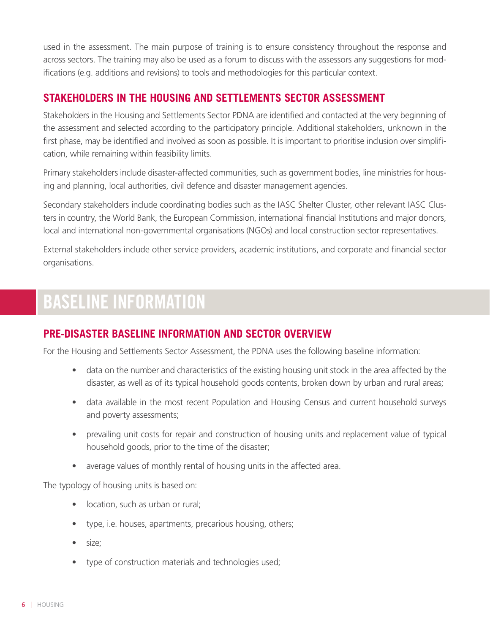used in the assessment. The main purpose of training is to ensure consistency throughout the response and across sectors. The training may also be used as a forum to discuss with the assessors any suggestions for modifications (e.g. additions and revisions) to tools and methodologies for this particular context.

### **STAKEHOLDERS IN THE HOUSING AND SETTLEMENTS SECTOR ASSESSMENT**

Stakeholders in the Housing and Settlements Sector PDNA are identified and contacted at the very beginning of the assessment and selected according to the participatory principle. Additional stakeholders, unknown in the first phase, may be identified and involved as soon as possible. It is important to prioritise inclusion over simplification, while remaining within feasibility limits.

Primary stakeholders include disaster-affected communities, such as government bodies, line ministries for housing and planning, local authorities, civil defence and disaster management agencies.

Secondary stakeholders include coordinating bodies such as the IASC Shelter Cluster, other relevant IASC Clusters in country, the World Bank, the European Commission, international financial Institutions and major donors, local and international non-governmental organisations (NGOs) and local construction sector representatives.

External stakeholders include other service providers, academic institutions, and corporate and financial sector organisations.

# BASELINE INFORMATION

## **PRE-DISASTER BASELINE INFORMATION AND SECTOR OVERVIEW**

For the Housing and Settlements Sector Assessment, the PDNA uses the following baseline information:

- data on the number and characteristics of the existing housing unit stock in the area affected by the disaster, as well as of its typical household goods contents, broken down by urban and rural areas;
- data available in the most recent Population and Housing Census and current household surveys and poverty assessments;
- prevailing unit costs for repair and construction of housing units and replacement value of typical household goods, prior to the time of the disaster;
- average values of monthly rental of housing units in the affected area.

The typology of housing units is based on:

- location, such as urban or rural;
- type, i.e. houses, apartments, precarious housing, others;
- size;
- type of construction materials and technologies used;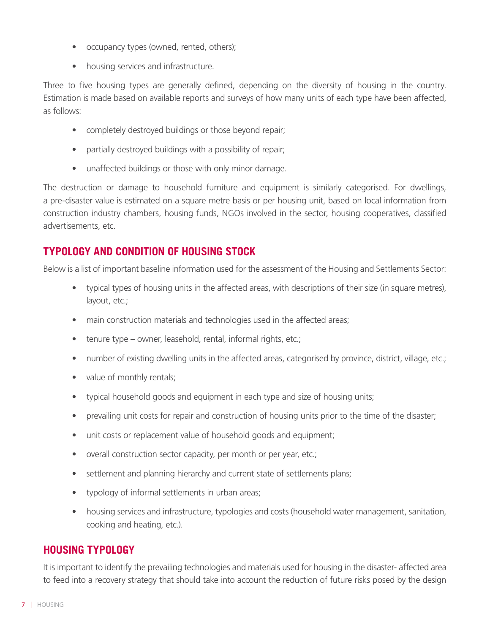- occupancy types (owned, rented, others);
- housing services and infrastructure.

Three to five housing types are generally defined, depending on the diversity of housing in the country. Estimation is made based on available reports and surveys of how many units of each type have been affected, as follows:

- completely destroyed buildings or those beyond repair;
- partially destroyed buildings with a possibility of repair;
- unaffected buildings or those with only minor damage.

The destruction or damage to household furniture and equipment is similarly categorised. For dwellings, a pre-disaster value is estimated on a square metre basis or per housing unit, based on local information from construction industry chambers, housing funds, NGOs involved in the sector, housing cooperatives, classified advertisements, etc.

## **TYPOLOGY AND CONDITION OF HOUSING STOCK**

Below is a list of important baseline information used for the assessment of the Housing and Settlements Sector:

- typical types of housing units in the affected areas, with descriptions of their size (in square metres), layout, etc.;
- main construction materials and technologies used in the affected areas;
- tenure type owner, leasehold, rental, informal rights, etc.;
- number of existing dwelling units in the affected areas, categorised by province, district, village, etc.;
- value of monthly rentals;
- typical household goods and equipment in each type and size of housing units;
- prevailing unit costs for repair and construction of housing units prior to the time of the disaster;
- unit costs or replacement value of household goods and equipment;
- overall construction sector capacity, per month or per year, etc.;
- settlement and planning hierarchy and current state of settlements plans;
- typology of informal settlements in urban areas;
- housing services and infrastructure, typologies and costs (household water management, sanitation, cooking and heating, etc.).

### **HOUSING TYPOLOGY**

It is important to identify the prevailing technologies and materials used for housing in the disaster- affected area to feed into a recovery strategy that should take into account the reduction of future risks posed by the design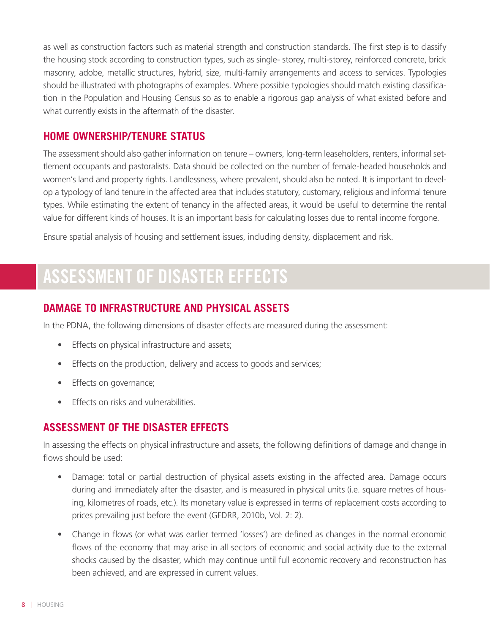as well as construction factors such as material strength and construction standards. The first step is to classify the housing stock according to construction types, such as single- storey, multi-storey, reinforced concrete, brick masonry, adobe, metallic structures, hybrid, size, multi-family arrangements and access to services. Typologies should be illustrated with photographs of examples. Where possible typologies should match existing classification in the Population and Housing Census so as to enable a rigorous gap analysis of what existed before and what currently exists in the aftermath of the disaster.

### **HOME OWNERSHIP/TENURE STATUS**

The assessment should also gather information on tenure – owners, long-term leaseholders, renters, informal settlement occupants and pastoralists. Data should be collected on the number of female-headed households and women's land and property rights. Landlessness, where prevalent, should also be noted. It is important to develop a typology of land tenure in the affected area that includes statutory, customary, religious and informal tenure types. While estimating the extent of tenancy in the affected areas, it would be useful to determine the rental value for different kinds of houses. It is an important basis for calculating losses due to rental income forgone.

Ensure spatial analysis of housing and settlement issues, including density, displacement and risk.

# ASSESSMENT OF DISASTER EFFECTS

### **DAMAGE TO INFRASTRUCTURE AND PHYSICAL ASSETS**

In the PDNA, the following dimensions of disaster effects are measured during the assessment:

- Effects on physical infrastructure and assets;
- Effects on the production, delivery and access to goods and services;
- Effects on governance;
- Effects on risks and vulnerabilities.

### **ASSESSMENT OF THE DISASTER EFFECTS**

In assessing the effects on physical infrastructure and assets, the following definitions of damage and change in flows should be used:

- Damage: total or partial destruction of physical assets existing in the affected area. Damage occurs during and immediately after the disaster, and is measured in physical units (i.e. square metres of housing, kilometres of roads, etc.). Its monetary value is expressed in terms of replacement costs according to prices prevailing just before the event (GFDRR, 2010b, Vol. 2: 2).
- Change in flows (or what was earlier termed 'losses') are defined as changes in the normal economic flows of the economy that may arise in all sectors of economic and social activity due to the external shocks caused by the disaster, which may continue until full economic recovery and reconstruction has been achieved, and are expressed in current values.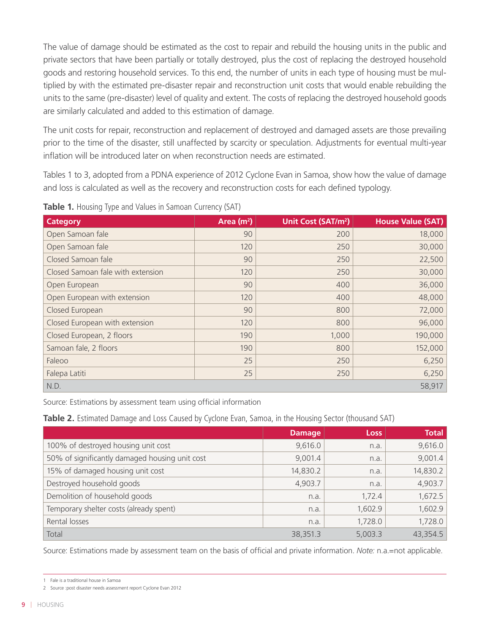The value of damage should be estimated as the cost to repair and rebuild the housing units in the public and private sectors that have been partially or totally destroyed, plus the cost of replacing the destroyed household goods and restoring household services. To this end, the number of units in each type of housing must be multiplied by with the estimated pre-disaster repair and reconstruction unit costs that would enable rebuilding the units to the same (pre-disaster) level of quality and extent. The costs of replacing the destroyed household goods are similarly calculated and added to this estimation of damage.

The unit costs for repair, reconstruction and replacement of destroyed and damaged assets are those prevailing prior to the time of the disaster, still unaffected by scarcity or speculation. Adjustments for eventual multi-year inflation will be introduced later on when reconstruction needs are estimated.

Tables 1 to 3, adopted from a PDNA experience of 2012 Cyclone Evan in Samoa, show how the value of damage and loss is calculated as well as the recovery and reconstruction costs for each defined typology.

| <b>Category</b>                   | Area $(m2)$ | Unit Cost (SAT/m <sup>2</sup> ) | <b>House Value (SAT)</b> |
|-----------------------------------|-------------|---------------------------------|--------------------------|
| Open Samoan fale                  | 90          | 200                             | 18,000                   |
| Open Samoan fale                  | 120         | 250                             | 30,000                   |
| Closed Samoan fale                | 90          | 250                             | 22,500                   |
| Closed Samoan fale with extension | 120         | 250                             | 30,000                   |
| Open European                     | 90          | 400                             | 36,000                   |
| Open European with extension      | 120         | 400                             | 48,000                   |
| Closed European                   | 90          | 800                             | 72,000                   |
| Closed European with extension    | 120         | 800                             | 96,000                   |
| Closed European, 2 floors         | 190         | 1,000                           | 190,000                  |
| Samoan fale, 2 floors             | 190         | 800                             | 152,000                  |
| Faleoo                            | 25          | 250                             | 6,250                    |
| Falepa Latiti                     | 25          | 250                             | 6,250                    |
| N.D.                              |             |                                 | 58,917                   |

**Table 1.** Housing Type and Values in Samoan Currency (SAT)

Source: Estimations by assessment team using official information

**Table 2.** Estimated Damage and Loss Caused by Cyclone Evan, Samoa, in the Housing Sector (thousand SAT)

|                                                | <b>Damage</b> | Loss    | <b>Total</b> |
|------------------------------------------------|---------------|---------|--------------|
| 100% of destroyed housing unit cost            | 9,616.0       | n.a.    | 9,616.0      |
| 50% of significantly damaged housing unit cost | 9,001.4       | n.a.    | 9,001.4      |
| 15% of damaged housing unit cost               | 14,830.2      | n.a.    | 14,830.2     |
| Destroyed household goods                      | 4,903.7       | n.a.    | 4,903.7      |
| Demolition of household goods                  | n.a.          | 1,72.4  | 1,672.5      |
| Temporary shelter costs (already spent)        | n.a.          | 1,602.9 | 1,602.9      |
| Rental losses                                  | n.a.          | 1,728.0 | 1,728.0      |
| Total                                          | 38,351.3      | 5,003.3 | 43,354.5     |

Source: Estimations made by assessment team on the basis of official and private information. *Note:* n.a.=not applicable.

<sup>1</sup> Fale is a traditional house in Samoa

<sup>2</sup> Source :post disaster needs assessment report Cyclone Evan 2012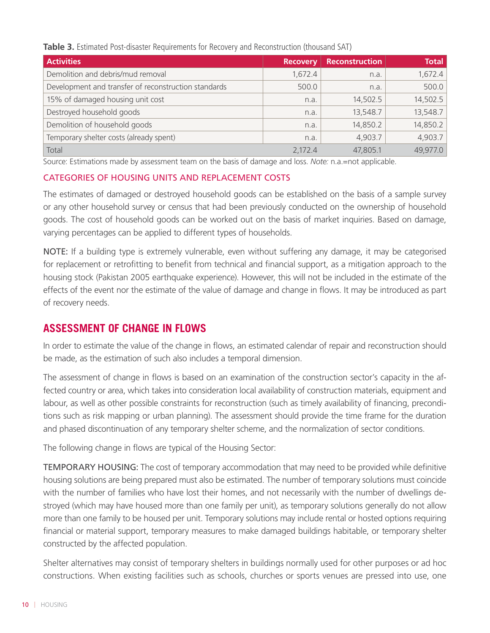**Table 3.** Estimated Post-disaster Requirements for Recovery and Reconstruction (thousand SAT)

| <b>Activities</b>                                    | <b>Recovery</b> | <b>Reconstruction</b> | <b>Total</b> |
|------------------------------------------------------|-----------------|-----------------------|--------------|
| Demolition and debris/mud removal                    | 1,672.4         | n.a.                  | 1,672.4      |
| Development and transfer of reconstruction standards | 500.0           | n.a.                  | 500.0        |
| 15% of damaged housing unit cost                     | n.a.            | 14,502.5              | 14,502.5     |
| Destroyed household goods                            | n.a.            | 13,548.7              | 13,548.7     |
| Demolition of household goods                        | n.a.            | 14,850.2              | 14,850.2     |
| Temporary shelter costs (already spent)              | n.a.            | 4,903.7               | 4,903.7      |
| Total                                                | 2.172.4         | 47,805.1              | 49,977.0     |

Source: Estimations made by assessment team on the basis of damage and loss. *Note:* n.a.=not applicable.

### CATEGORIES OF HOUSING UNITS AND REPLACEMENT COSTS

The estimates of damaged or destroyed household goods can be established on the basis of a sample survey or any other household survey or census that had been previously conducted on the ownership of household goods. The cost of household goods can be worked out on the basis of market inquiries. Based on damage, varying percentages can be applied to different types of households.

NOTE: If a building type is extremely vulnerable, even without suffering any damage, it may be categorised for replacement or retrofitting to benefit from technical and financial support, as a mitigation approach to the housing stock (Pakistan 2005 earthquake experience). However, this will not be included in the estimate of the effects of the event nor the estimate of the value of damage and change in flows. It may be introduced as part of recovery needs.

### **ASSESSMENT OF CHANGE IN FLOWS**

In order to estimate the value of the change in flows, an estimated calendar of repair and reconstruction should be made, as the estimation of such also includes a temporal dimension.

The assessment of change in flows is based on an examination of the construction sector's capacity in the affected country or area, which takes into consideration local availability of construction materials, equipment and labour, as well as other possible constraints for reconstruction (such as timely availability of financing, preconditions such as risk mapping or urban planning). The assessment should provide the time frame for the duration and phased discontinuation of any temporary shelter scheme, and the normalization of sector conditions.

The following change in flows are typical of the Housing Sector:

TEMPORARY HOUSING: The cost of temporary accommodation that may need to be provided while definitive housing solutions are being prepared must also be estimated. The number of temporary solutions must coincide with the number of families who have lost their homes, and not necessarily with the number of dwellings destroyed (which may have housed more than one family per unit), as temporary solutions generally do not allow more than one family to be housed per unit. Temporary solutions may include rental or hosted options requiring financial or material support, temporary measures to make damaged buildings habitable, or temporary shelter constructed by the affected population.

Shelter alternatives may consist of temporary shelters in buildings normally used for other purposes or ad hoc constructions. When existing facilities such as schools, churches or sports venues are pressed into use, one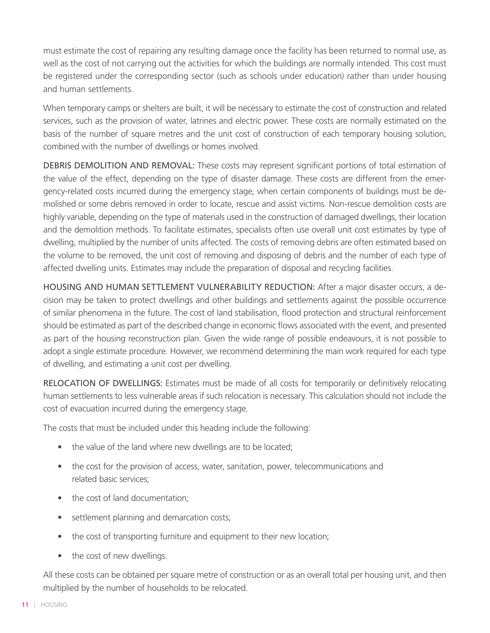must estimate the cost of repairing any resulting damage once the facility has been returned to normal use, as well as the cost of not carrying out the activities for which the buildings are normally intended. This cost must be registered under the corresponding sector (such as schools under education) rather than under housing and human settlements.

When temporary camps or shelters are built, it will be necessary to estimate the cost of construction and related services, such as the provision of water, latrines and electric power. These costs are normally estimated on the basis of the number of square metres and the unit cost of construction of each temporary housing solution, combined with the number of dwellings or homes involved.

DEBRIS DEMOLITION AND REMOVAL: These costs may represent significant portions of total estimation of the value of the effect, depending on the type of disaster damage. These costs are different from the emergency-related costs incurred during the emergency stage, when certain components of buildings must be demolished or some debris removed in order to locate, rescue and assist victims. Non-rescue demolition costs are highly variable, depending on the type of materials used in the construction of damaged dwellings, their location and the demolition methods. To facilitate estimates, specialists often use overall unit cost estimates by type of dwelling, multiplied by the number of units affected. The costs of removing debris are often estimated based on the volume to be removed, the unit cost of removing and disposing of debris and the number of each type of affected dwelling units. Estimates may include the preparation of disposal and recycling facilities.

HOUSING AND HUMAN SETTLEMENT VULNERABILITY REDUCTION: After a major disaster occurs, a decision may be taken to protect dwellings and other buildings and settlements against the possible occurrence of similar phenomena in the future. The cost of land stabilisation, flood protection and structural reinforcement should be estimated as part of the described change in economic flows associated with the event, and presented as part of the housing reconstruction plan. Given the wide range of possible endeavours, it is not possible to adopt a single estimate procedure. However, we recommend determining the main work required for each type of dwelling, and estimating a unit cost per dwelling.

RELOCATION OF DWELLINGS: Estimates must be made of all costs for temporarily or definitively relocating human settlements to less vulnerable areas if such relocation is necessary. This calculation should not include the cost of evacuation incurred during the emergency stage.

The costs that must be included under this heading include the following:

- the value of the land where new dwellings are to be located;
- the cost for the provision of access, water, sanitation, power, telecommunications and related basic services;
- the cost of land documentation:
- settlement planning and demarcation costs;
- the cost of transporting furniture and equipment to their new location;
- the cost of new dwellings.

All these costs can be obtained per square metre of construction or as an overall total per housing unit, and then multiplied by the number of households to be relocated.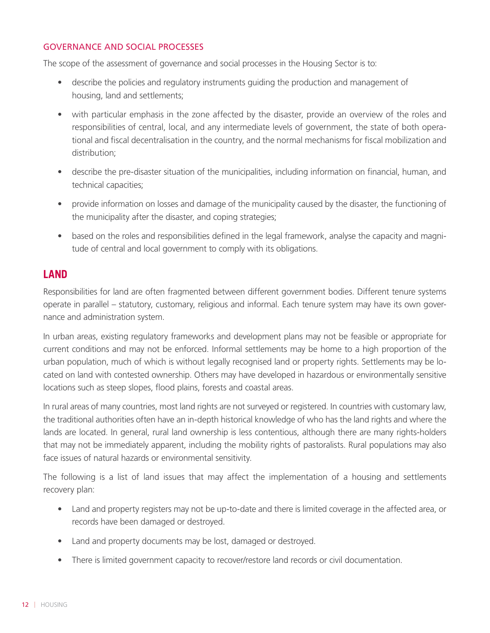#### GOVERNANCE AND SOCIAL PROCESSES

The scope of the assessment of governance and social processes in the Housing Sector is to:

- describe the policies and regulatory instruments guiding the production and management of housing, land and settlements;
- with particular emphasis in the zone affected by the disaster, provide an overview of the roles and responsibilities of central, local, and any intermediate levels of government, the state of both operational and fiscal decentralisation in the country, and the normal mechanisms for fiscal mobilization and distribution;
- describe the pre-disaster situation of the municipalities, including information on financial, human, and technical capacities;
- provide information on losses and damage of the municipality caused by the disaster, the functioning of the municipality after the disaster, and coping strategies;
- based on the roles and responsibilities defined in the legal framework, analyse the capacity and magnitude of central and local government to comply with its obligations.

### **LAND**

Responsibilities for land are often fragmented between different government bodies. Different tenure systems operate in parallel – statutory, customary, religious and informal. Each tenure system may have its own governance and administration system.

In urban areas, existing regulatory frameworks and development plans may not be feasible or appropriate for current conditions and may not be enforced. Informal settlements may be home to a high proportion of the urban population, much of which is without legally recognised land or property rights. Settlements may be located on land with contested ownership. Others may have developed in hazardous or environmentally sensitive locations such as steep slopes, flood plains, forests and coastal areas.

In rural areas of many countries, most land rights are not surveyed or registered. In countries with customary law, the traditional authorities often have an in-depth historical knowledge of who has the land rights and where the lands are located. In general, rural land ownership is less contentious, although there are many rights-holders that may not be immediately apparent, including the mobility rights of pastoralists. Rural populations may also face issues of natural hazards or environmental sensitivity.

The following is a list of land issues that may affect the implementation of a housing and settlements recovery plan:

- Land and property registers may not be up-to-date and there is limited coverage in the affected area, or records have been damaged or destroyed.
- Land and property documents may be lost, damaged or destroyed.
- There is limited government capacity to recover/restore land records or civil documentation.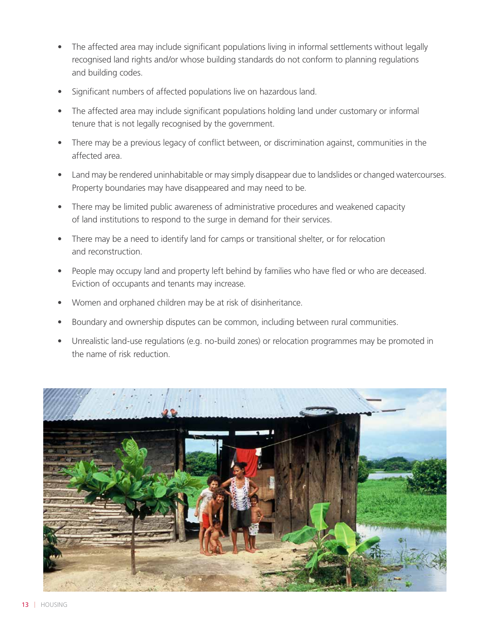- The affected area may include significant populations living in informal settlements without legally recognised land rights and/or whose building standards do not conform to planning regulations and building codes.
- Significant numbers of affected populations live on hazardous land.
- The affected area may include significant populations holding land under customary or informal tenure that is not legally recognised by the government.
- There may be a previous legacy of conflict between, or discrimination against, communities in the affected area.
- Land may be rendered uninhabitable or may simply disappear due to landslides or changed watercourses. Property boundaries may have disappeared and may need to be.
- There may be limited public awareness of administrative procedures and weakened capacity of land institutions to respond to the surge in demand for their services.
- There may be a need to identify land for camps or transitional shelter, or for relocation and reconstruction.
- People may occupy land and property left behind by families who have fled or who are deceased. Eviction of occupants and tenants may increase.
- Women and orphaned children may be at risk of disinheritance.
- Boundary and ownership disputes can be common, including between rural communities.
- Unrealistic land-use regulations (e.g. no-build zones) or relocation programmes may be promoted in the name of risk reduction.

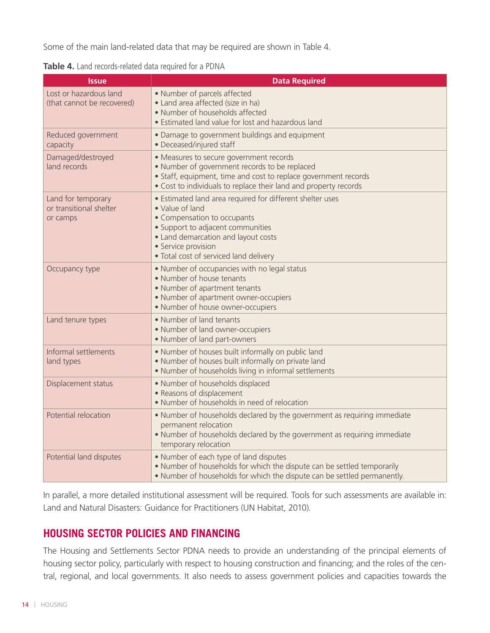Some of the main land-related data that may be required are shown in Table 4.

| Table 4. Land records-related data required for a PDNA |  |
|--------------------------------------------------------|--|
|--------------------------------------------------------|--|

| <b>Issue</b>                                              | <b>Data Required</b>                                                                                                                                                                                                                                     |
|-----------------------------------------------------------|----------------------------------------------------------------------------------------------------------------------------------------------------------------------------------------------------------------------------------------------------------|
| Lost or hazardous land<br>(that cannot be recovered)      | • Number of parcels affected<br>• Land area affected (size in ha)<br>• Number of households affected<br>• Estimated land value for lost and hazardous land                                                                                               |
| Reduced government<br>capacity                            | • Damage to government buildings and equipment<br>• Deceased/injured staff                                                                                                                                                                               |
| Damaged/destroyed<br>land records                         | • Measures to secure government records<br>. Number of government records to be replaced<br>• Staff, equipment, time and cost to replace government records<br>• Cost to individuals to replace their land and property records                          |
| Land for temporary<br>or transitional shelter<br>or camps | • Estimated land area required for different shelter uses<br>• Value of land<br>• Compensation to occupants<br>• Support to adjacent communities<br>• Land demarcation and layout costs<br>· Service provision<br>· Total cost of serviced land delivery |
| Occupancy type                                            | . Number of occupancies with no legal status<br>• Number of house tenants<br>• Number of apartment tenants<br>• Number of apartment owner-occupiers<br>• Number of house owner-occupiers                                                                 |
| Land tenure types                                         | • Number of land tenants<br>• Number of land owner-occupiers<br>• Number of land part-owners                                                                                                                                                             |
| Informal settlements<br>land types                        | . Number of houses built informally on public land<br>. Number of houses built informally on private land<br>. Number of households living in informal settlements                                                                                       |
| Displacement status                                       | • Number of households displaced<br>• Reasons of displacement<br>. Number of households in need of relocation                                                                                                                                            |
| Potential relocation                                      | • Number of households declared by the government as requiring immediate<br>permanent relocation<br>. Number of households declared by the government as requiring immediate<br>temporary relocation                                                     |
| Potential land disputes                                   | • Number of each type of land disputes<br>• Number of households for which the dispute can be settled temporarily<br>. Number of households for which the dispute can be settled permanently.                                                            |

In parallel, a more detailed institutional assessment will be required. Tools for such assessments are available in: Land and Natural Disasters: Guidance for Practitioners (UN Habitat, 2010).

### **HOUSING SECTOR POLICIES AND FINANCING**

The Housing and Settlements Sector PDNA needs to provide an understanding of the principal elements of housing sector policy, particularly with respect to housing construction and financing; and the roles of the central, regional, and local governments. It also needs to assess government policies and capacities towards the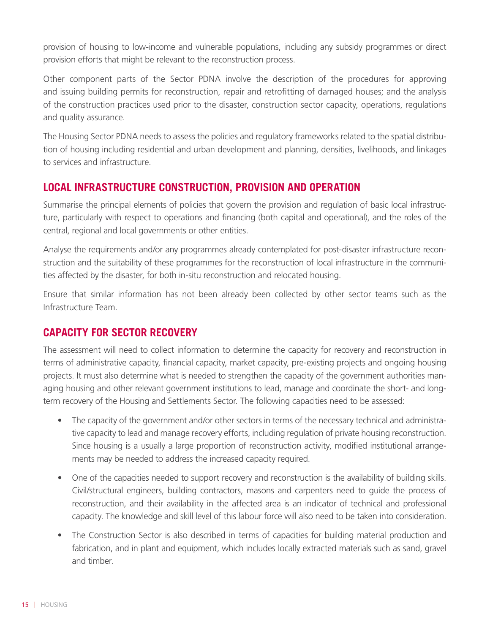provision of housing to low-income and vulnerable populations, including any subsidy programmes or direct provision efforts that might be relevant to the reconstruction process.

Other component parts of the Sector PDNA involve the description of the procedures for approving and issuing building permits for reconstruction, repair and retrofitting of damaged houses; and the analysis of the construction practices used prior to the disaster, construction sector capacity, operations, regulations and quality assurance.

The Housing Sector PDNA needs to assess the policies and regulatory frameworks related to the spatial distribution of housing including residential and urban development and planning, densities, livelihoods, and linkages to services and infrastructure.

### **LOCAL INFRASTRUCTURE CONSTRUCTION, PROVISION AND OPERATION**

Summarise the principal elements of policies that govern the provision and regulation of basic local infrastructure, particularly with respect to operations and financing (both capital and operational), and the roles of the central, regional and local governments or other entities.

Analyse the requirements and/or any programmes already contemplated for post-disaster infrastructure reconstruction and the suitability of these programmes for the reconstruction of local infrastructure in the communities affected by the disaster, for both in-situ reconstruction and relocated housing.

Ensure that similar information has not been already been collected by other sector teams such as the Infrastructure Team.

## **CAPACITY FOR SECTOR RECOVERY**

The assessment will need to collect information to determine the capacity for recovery and reconstruction in terms of administrative capacity, financial capacity, market capacity, pre-existing projects and ongoing housing projects. It must also determine what is needed to strengthen the capacity of the government authorities managing housing and other relevant government institutions to lead, manage and coordinate the short- and longterm recovery of the Housing and Settlements Sector. The following capacities need to be assessed:

- The capacity of the government and/or other sectors in terms of the necessary technical and administrative capacity to lead and manage recovery efforts, including regulation of private housing reconstruction. Since housing is a usually a large proportion of reconstruction activity, modified institutional arrangements may be needed to address the increased capacity required.
- One of the capacities needed to support recovery and reconstruction is the availability of building skills. Civil/structural engineers, building contractors, masons and carpenters need to guide the process of reconstruction, and their availability in the affected area is an indicator of technical and professional capacity. The knowledge and skill level of this labour force will also need to be taken into consideration.
- The Construction Sector is also described in terms of capacities for building material production and fabrication, and in plant and equipment, which includes locally extracted materials such as sand, gravel and timber.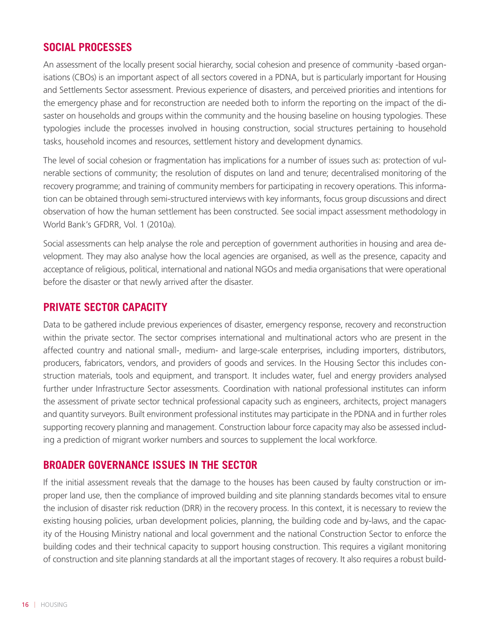### **SOCIAL PROCESSES**

An assessment of the locally present social hierarchy, social cohesion and presence of community -based organisations (CBOs) is an important aspect of all sectors covered in a PDNA, but is particularly important for Housing and Settlements Sector assessment. Previous experience of disasters, and perceived priorities and intentions for the emergency phase and for reconstruction are needed both to inform the reporting on the impact of the disaster on households and groups within the community and the housing baseline on housing typologies. These typologies include the processes involved in housing construction, social structures pertaining to household tasks, household incomes and resources, settlement history and development dynamics.

The level of social cohesion or fragmentation has implications for a number of issues such as: protection of vulnerable sections of community; the resolution of disputes on land and tenure; decentralised monitoring of the recovery programme; and training of community members for participating in recovery operations. This information can be obtained through semi-structured interviews with key informants, focus group discussions and direct observation of how the human settlement has been constructed. See social impact assessment methodology in World Bank's GFDRR, Vol. 1 (2010a).

Social assessments can help analyse the role and perception of government authorities in housing and area development. They may also analyse how the local agencies are organised, as well as the presence, capacity and acceptance of religious, political, international and national NGOs and media organisations that were operational before the disaster or that newly arrived after the disaster.

### **PRIVATE SECTOR CAPACITY**

Data to be gathered include previous experiences of disaster, emergency response, recovery and reconstruction within the private sector. The sector comprises international and multinational actors who are present in the affected country and national small-, medium- and large-scale enterprises, including importers, distributors, producers, fabricators, vendors, and providers of goods and services. In the Housing Sector this includes construction materials, tools and equipment, and transport. It includes water, fuel and energy providers analysed further under Infrastructure Sector assessments. Coordination with national professional institutes can inform the assessment of private sector technical professional capacity such as engineers, architects, project managers and quantity surveyors. Built environment professional institutes may participate in the PDNA and in further roles supporting recovery planning and management. Construction labour force capacity may also be assessed including a prediction of migrant worker numbers and sources to supplement the local workforce.

### **BROADER GOVERNANCE ISSUES IN THE SECTOR**

If the initial assessment reveals that the damage to the houses has been caused by faulty construction or improper land use, then the compliance of improved building and site planning standards becomes vital to ensure the inclusion of disaster risk reduction (DRR) in the recovery process. In this context, it is necessary to review the existing housing policies, urban development policies, planning, the building code and by-laws, and the capacity of the Housing Ministry national and local government and the national Construction Sector to enforce the building codes and their technical capacity to support housing construction. This requires a vigilant monitoring of construction and site planning standards at all the important stages of recovery. It also requires a robust build-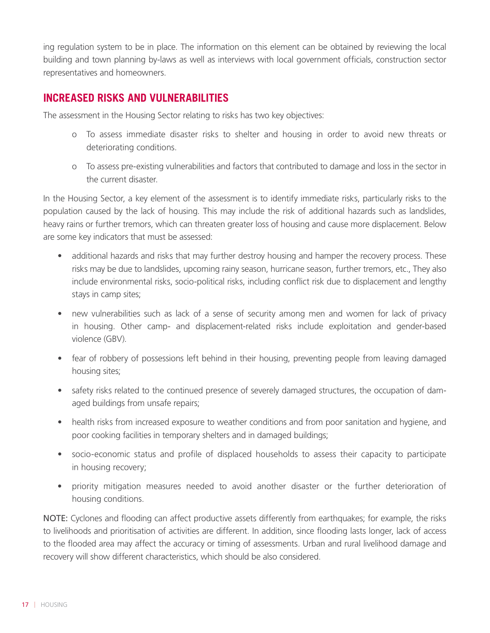ing regulation system to be in place. The information on this element can be obtained by reviewing the local building and town planning by-laws as well as interviews with local government officials, construction sector representatives and homeowners.

### **INCREASED RISKS AND VULNERABILITIES**

The assessment in the Housing Sector relating to risks has two key objectives:

- o To assess immediate disaster risks to shelter and housing in order to avoid new threats or deteriorating conditions.
- o To assess pre-existing vulnerabilities and factors that contributed to damage and loss in the sector in the current disaster.

In the Housing Sector, a key element of the assessment is to identify immediate risks, particularly risks to the population caused by the lack of housing. This may include the risk of additional hazards such as landslides, heavy rains or further tremors, which can threaten greater loss of housing and cause more displacement. Below are some key indicators that must be assessed:

- additional hazards and risks that may further destroy housing and hamper the recovery process. These risks may be due to landslides, upcoming rainy season, hurricane season, further tremors, etc., They also include environmental risks, socio-political risks, including conflict risk due to displacement and lengthy stays in camp sites;
- new vulnerabilities such as lack of a sense of security among men and women for lack of privacy in housing. Other camp- and displacement-related risks include exploitation and gender-based violence (GBV).
- fear of robbery of possessions left behind in their housing, preventing people from leaving damaged housing sites;
- safety risks related to the continued presence of severely damaged structures, the occupation of damaged buildings from unsafe repairs;
- health risks from increased exposure to weather conditions and from poor sanitation and hygiene, and poor cooking facilities in temporary shelters and in damaged buildings;
- socio-economic status and profile of displaced households to assess their capacity to participate in housing recovery;
- priority mitigation measures needed to avoid another disaster or the further deterioration of housing conditions.

NOTE: Cyclones and flooding can affect productive assets differently from earthquakes; for example, the risks to livelihoods and prioritisation of activities are different. In addition, since flooding lasts longer, lack of access to the flooded area may affect the accuracy or timing of assessments. Urban and rural livelihood damage and recovery will show different characteristics, which should be also considered.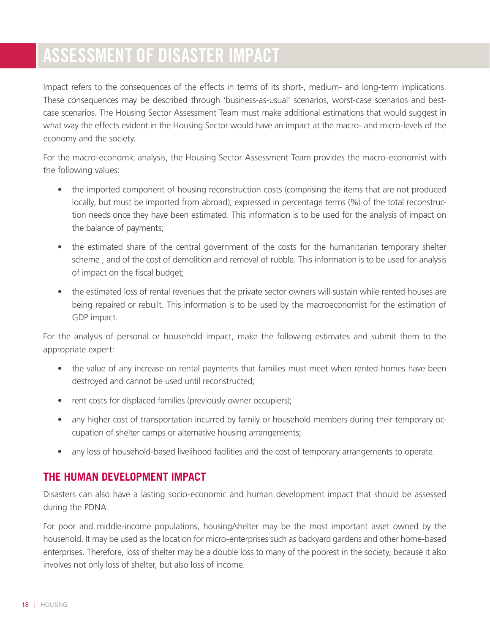# ASSESSMENT OF DISASTER IMPACT

Impact refers to the consequences of the effects in terms of its short-, medium- and long-term implications. These consequences may be described through 'business-as-usual' scenarios, worst-case scenarios and bestcase scenarios. The Housing Sector Assessment Team must make additional estimations that would suggest in what way the effects evident in the Housing Sector would have an impact at the macro- and micro-levels of the economy and the society.

For the macro-economic analysis, the Housing Sector Assessment Team provides the macro-economist with the following values:

- the imported component of housing reconstruction costs (comprising the items that are not produced locally, but must be imported from abroad); expressed in percentage terms (%) of the total reconstruction needs once they have been estimated. This information is to be used for the analysis of impact on the balance of payments;
- the estimated share of the central government of the costs for the humanitarian temporary shelter scheme , and of the cost of demolition and removal of rubble. This information is to be used for analysis of impact on the fiscal budget;
- the estimated loss of rental revenues that the private sector owners will sustain while rented houses are being repaired or rebuilt. This information is to be used by the macroeconomist for the estimation of GDP impact.

For the analysis of personal or household impact, make the following estimates and submit them to the appropriate expert:

- the value of any increase on rental payments that families must meet when rented homes have been destroyed and cannot be used until reconstructed;
- rent costs for displaced families (previously owner occupiers);
- any higher cost of transportation incurred by family or household members during their temporary occupation of shelter camps or alternative housing arrangements;
- any loss of household-based livelihood facilities and the cost of temporary arrangements to operate.

### **THE HUMAN DEVELOPMENT IMPACT**

Disasters can also have a lasting socio-economic and human development impact that should be assessed during the PDNA.

For poor and middle-income populations, housing/shelter may be the most important asset owned by the household. It may be used as the location for micro-enterprises such as backyard gardens and other home-based enterprises. Therefore, loss of shelter may be a double loss to many of the poorest in the society, because it also involves not only loss of shelter, but also loss of income.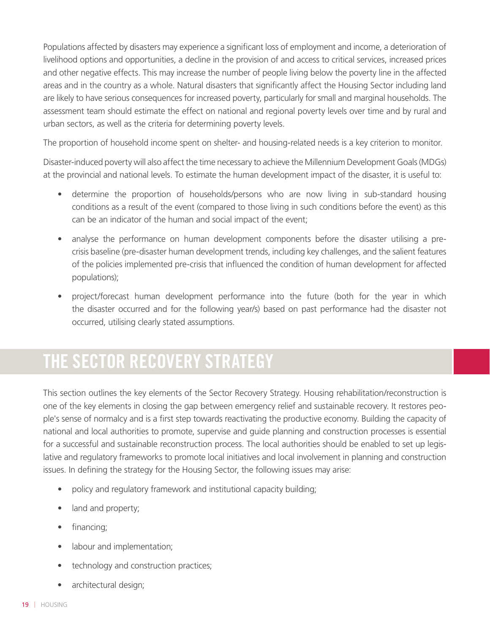Populations affected by disasters may experience a significant loss of employment and income, a deterioration of livelihood options and opportunities, a decline in the provision of and access to critical services, increased prices and other negative effects. This may increase the number of people living below the poverty line in the affected areas and in the country as a whole. Natural disasters that significantly affect the Housing Sector including land are likely to have serious consequences for increased poverty, particularly for small and marginal households. The assessment team should estimate the effect on national and regional poverty levels over time and by rural and urban sectors, as well as the criteria for determining poverty levels.

The proportion of household income spent on shelter- and housing-related needs is a key criterion to monitor.

Disaster-induced poverty will also affect the time necessary to achieve the Millennium Development Goals (MDGs) at the provincial and national levels. To estimate the human development impact of the disaster, it is useful to:

- determine the proportion of households/persons who are now living in sub-standard housing conditions as a result of the event (compared to those living in such conditions before the event) as this can be an indicator of the human and social impact of the event;
- analyse the performance on human development components before the disaster utilising a precrisis baseline (pre-disaster human development trends, including key challenges, and the salient features of the policies implemented pre-crisis that influenced the condition of human development for affected populations);
- project/forecast human development performance into the future (both for the year in which the disaster occurred and for the following year/s) based on past performance had the disaster not occurred, utilising clearly stated assumptions.

# THE SECTOR RECOVERY STRATEGY

This section outlines the key elements of the Sector Recovery Strategy. Housing rehabilitation/reconstruction is one of the key elements in closing the gap between emergency relief and sustainable recovery. It restores people's sense of normalcy and is a first step towards reactivating the productive economy. Building the capacity of national and local authorities to promote, supervise and guide planning and construction processes is essential for a successful and sustainable reconstruction process. The local authorities should be enabled to set up legislative and regulatory frameworks to promote local initiatives and local involvement in planning and construction issues. In defining the strategy for the Housing Sector, the following issues may arise:

- policy and regulatory framework and institutional capacity building;
- land and property;
- financing;
- labour and implementation;
- technology and construction practices;
- architectural design;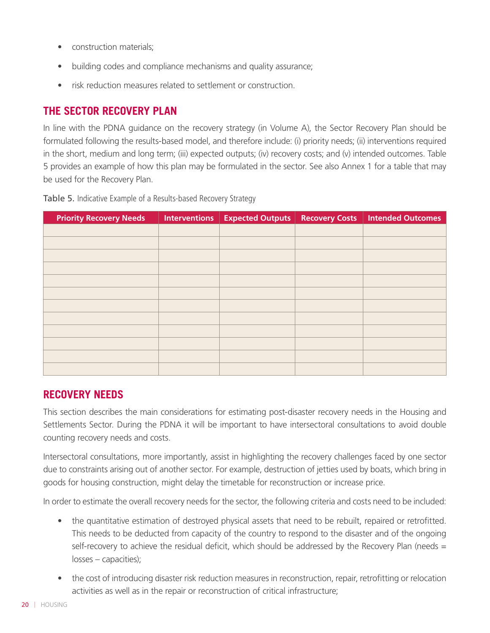- construction materials;
- building codes and compliance mechanisms and quality assurance;
- risk reduction measures related to settlement or construction.

### **THE SECTOR RECOVERY PLAN**

In line with the PDNA guidance on the recovery strategy (in Volume A), the Sector Recovery Plan should be formulated following the results-based model, and therefore include: (i) priority needs; (ii) interventions required in the short, medium and long term; (iii) expected outputs; (iv) recovery costs; and (v) intended outcomes. Table 5 provides an example of how this plan may be formulated in the sector. See also Annex 1 for a table that may be used for the Recovery Plan.

Table 5. Indicative Example of a Results-based Recovery Strategy

| <b>Priority Recovery Needs</b> | <b>Interventions</b> | <b>Expected Outputs</b> | <b>Recovery Costs</b> | <b>Intended Outcomes</b> |
|--------------------------------|----------------------|-------------------------|-----------------------|--------------------------|
|                                |                      |                         |                       |                          |
|                                |                      |                         |                       |                          |
|                                |                      |                         |                       |                          |
|                                |                      |                         |                       |                          |
|                                |                      |                         |                       |                          |
|                                |                      |                         |                       |                          |
|                                |                      |                         |                       |                          |
|                                |                      |                         |                       |                          |
|                                |                      |                         |                       |                          |
|                                |                      |                         |                       |                          |
|                                |                      |                         |                       |                          |
|                                |                      |                         |                       |                          |

### **RECOVERY NEEDS**

This section describes the main considerations for estimating post-disaster recovery needs in the Housing and Settlements Sector. During the PDNA it will be important to have intersectoral consultations to avoid double counting recovery needs and costs.

Intersectoral consultations, more importantly, assist in highlighting the recovery challenges faced by one sector due to constraints arising out of another sector. For example, destruction of jetties used by boats, which bring in goods for housing construction, might delay the timetable for reconstruction or increase price.

In order to estimate the overall recovery needs for the sector, the following criteria and costs need to be included:

- the quantitative estimation of destroyed physical assets that need to be rebuilt, repaired or retrofitted. This needs to be deducted from capacity of the country to respond to the disaster and of the ongoing self-recovery to achieve the residual deficit, which should be addressed by the Recovery Plan (needs = losses – capacities);
- the cost of introducing disaster risk reduction measures in reconstruction, repair, retrofitting or relocation activities as well as in the repair or reconstruction of critical infrastructure;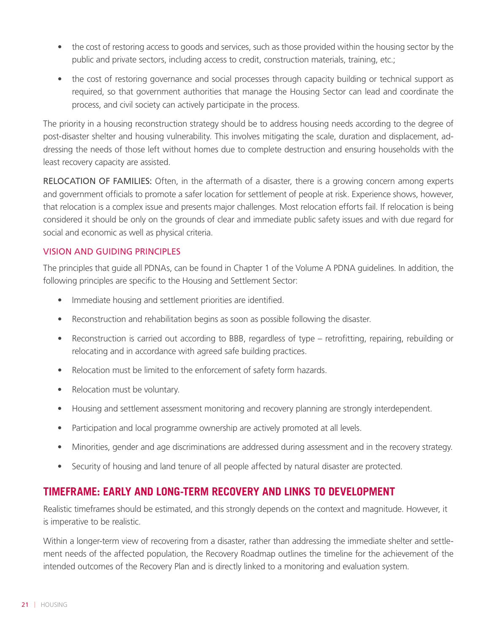- the cost of restoring access to goods and services, such as those provided within the housing sector by the public and private sectors, including access to credit, construction materials, training, etc.;
- the cost of restoring governance and social processes through capacity building or technical support as required, so that government authorities that manage the Housing Sector can lead and coordinate the process, and civil society can actively participate in the process.

The priority in a housing reconstruction strategy should be to address housing needs according to the degree of post-disaster shelter and housing vulnerability. This involves mitigating the scale, duration and displacement, addressing the needs of those left without homes due to complete destruction and ensuring households with the least recovery capacity are assisted.

RELOCATION OF FAMILIES: Often, in the aftermath of a disaster, there is a growing concern among experts and government officials to promote a safer location for settlement of people at risk. Experience shows, however, that relocation is a complex issue and presents major challenges. Most relocation efforts fail. If relocation is being considered it should be only on the grounds of clear and immediate public safety issues and with due regard for social and economic as well as physical criteria.

### VISION AND GUIDING PRINCIPLES

The principles that guide all PDNAs, can be found in Chapter 1 of the Volume A PDNA guidelines. In addition, the following principles are specific to the Housing and Settlement Sector:

- Immediate housing and settlement priorities are identified.
- Reconstruction and rehabilitation begins as soon as possible following the disaster.
- Reconstruction is carried out according to BBB, regardless of type retrofitting, repairing, rebuilding or relocating and in accordance with agreed safe building practices.
- Relocation must be limited to the enforcement of safety form hazards.
- Relocation must be voluntary.
- Housing and settlement assessment monitoring and recovery planning are strongly interdependent.
- Participation and local programme ownership are actively promoted at all levels.
- Minorities, gender and age discriminations are addressed during assessment and in the recovery strategy.
- Security of housing and land tenure of all people affected by natural disaster are protected.

### **TIMEFRAME: EARLY AND LONG-TERM RECOVERY AND LINKS TO DEVELOPMENT**

Realistic timeframes should be estimated, and this strongly depends on the context and magnitude. However, it is imperative to be realistic.

Within a longer-term view of recovering from a disaster, rather than addressing the immediate shelter and settlement needs of the affected population, the Recovery Roadmap outlines the timeline for the achievement of the intended outcomes of the Recovery Plan and is directly linked to a monitoring and evaluation system.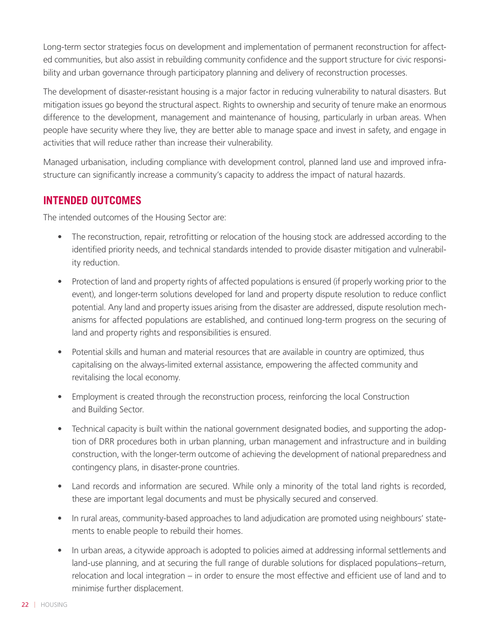Long-term sector strategies focus on development and implementation of permanent reconstruction for affected communities, but also assist in rebuilding community confidence and the support structure for civic responsibility and urban governance through participatory planning and delivery of reconstruction processes.

The development of disaster-resistant housing is a major factor in reducing vulnerability to natural disasters. But mitigation issues go beyond the structural aspect. Rights to ownership and security of tenure make an enormous difference to the development, management and maintenance of housing, particularly in urban areas. When people have security where they live, they are better able to manage space and invest in safety, and engage in activities that will reduce rather than increase their vulnerability.

Managed urbanisation, including compliance with development control, planned land use and improved infrastructure can significantly increase a community's capacity to address the impact of natural hazards.

### **INTENDED OUTCOMES**

The intended outcomes of the Housing Sector are:

- The reconstruction, repair, retrofitting or relocation of the housing stock are addressed according to the identified priority needs, and technical standards intended to provide disaster mitigation and vulnerability reduction.
- Protection of land and property rights of affected populations is ensured (if properly working prior to the event), and longer-term solutions developed for land and property dispute resolution to reduce conflict potential. Any land and property issues arising from the disaster are addressed, dispute resolution mechanisms for affected populations are established, and continued long-term progress on the securing of land and property rights and responsibilities is ensured.
- Potential skills and human and material resources that are available in country are optimized, thus capitalising on the always-limited external assistance, empowering the affected community and revitalising the local economy.
- Employment is created through the reconstruction process, reinforcing the local Construction and Building Sector.
- Technical capacity is built within the national government designated bodies, and supporting the adoption of DRR procedures both in urban planning, urban management and infrastructure and in building construction, with the longer-term outcome of achieving the development of national preparedness and contingency plans, in disaster-prone countries.
- Land records and information are secured. While only a minority of the total land rights is recorded, these are important legal documents and must be physically secured and conserved.
- In rural areas, community-based approaches to land adjudication are promoted using neighbours' statements to enable people to rebuild their homes.
- In urban areas, a citywide approach is adopted to policies aimed at addressing informal settlements and land-use planning, and at securing the full range of durable solutions for displaced populations–return, relocation and local integration – in order to ensure the most effective and efficient use of land and to minimise further displacement.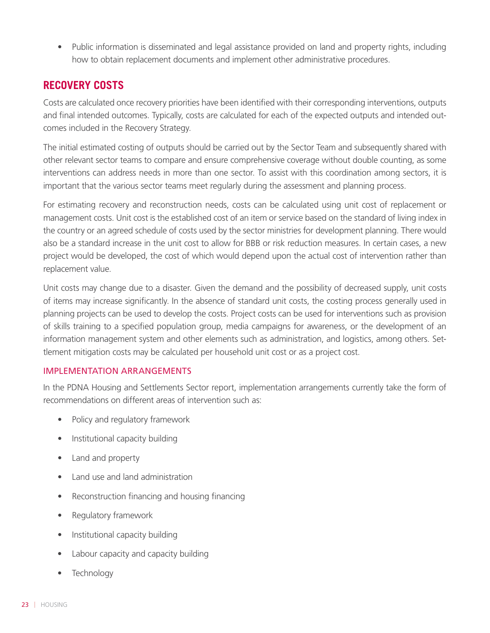• Public information is disseminated and legal assistance provided on land and property rights, including how to obtain replacement documents and implement other administrative procedures.

### **RECOVERY COSTS**

Costs are calculated once recovery priorities have been identified with their corresponding interventions, outputs and final intended outcomes. Typically, costs are calculated for each of the expected outputs and intended outcomes included in the Recovery Strategy.

The initial estimated costing of outputs should be carried out by the Sector Team and subsequently shared with other relevant sector teams to compare and ensure comprehensive coverage without double counting, as some interventions can address needs in more than one sector. To assist with this coordination among sectors, it is important that the various sector teams meet regularly during the assessment and planning process.

For estimating recovery and reconstruction needs, costs can be calculated using unit cost of replacement or management costs. Unit cost is the established cost of an item or service based on the standard of living index in the country or an agreed schedule of costs used by the sector ministries for development planning. There would also be a standard increase in the unit cost to allow for BBB or risk reduction measures. In certain cases, a new project would be developed, the cost of which would depend upon the actual cost of intervention rather than replacement value.

Unit costs may change due to a disaster. Given the demand and the possibility of decreased supply, unit costs of items may increase significantly. In the absence of standard unit costs, the costing process generally used in planning projects can be used to develop the costs. Project costs can be used for interventions such as provision of skills training to a specified population group, media campaigns for awareness, or the development of an information management system and other elements such as administration, and logistics, among others. Settlement mitigation costs may be calculated per household unit cost or as a project cost.

### IMPLEMENTATION ARRANGEMENTS

In the PDNA Housing and Settlements Sector report, implementation arrangements currently take the form of recommendations on different areas of intervention such as:

- Policy and regulatory framework
- Institutional capacity building
- Land and property
- Land use and land administration
- Reconstruction financing and housing financing
- Regulatory framework
- Institutional capacity building
- Labour capacity and capacity building
- **Technology**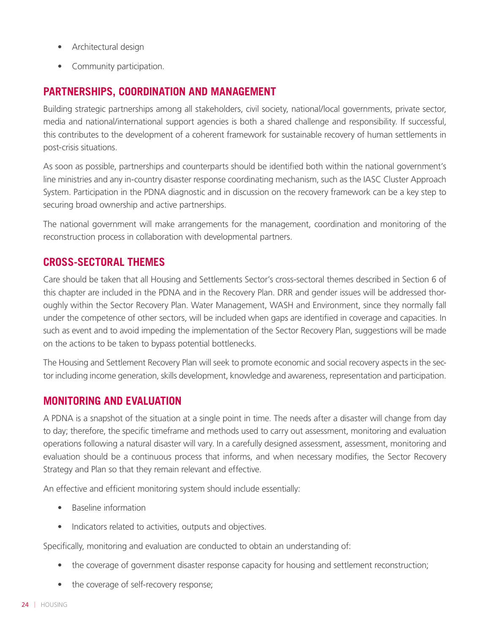- Architectural design
- Community participation.

## **PARTNERSHIPS, COORDINATION AND MANAGEMENT**

Building strategic partnerships among all stakeholders, civil society, national/local governments, private sector, media and national/international support agencies is both a shared challenge and responsibility. If successful, this contributes to the development of a coherent framework for sustainable recovery of human settlements in post-crisis situations.

As soon as possible, partnerships and counterparts should be identified both within the national government's line ministries and any in-country disaster response coordinating mechanism, such as the IASC Cluster Approach System. Participation in the PDNA diagnostic and in discussion on the recovery framework can be a key step to securing broad ownership and active partnerships.

The national government will make arrangements for the management, coordination and monitoring of the reconstruction process in collaboration with developmental partners.

### **CROSS-SECTORAL THEMES**

Care should be taken that all Housing and Settlements Sector's cross-sectoral themes described in Section 6 of this chapter are included in the PDNA and in the Recovery Plan. DRR and gender issues will be addressed thoroughly within the Sector Recovery Plan. Water Management, WASH and Environment, since they normally fall under the competence of other sectors, will be included when gaps are identified in coverage and capacities. In such as event and to avoid impeding the implementation of the Sector Recovery Plan, suggestions will be made on the actions to be taken to bypass potential bottlenecks.

The Housing and Settlement Recovery Plan will seek to promote economic and social recovery aspects in the sector including income generation, skills development, knowledge and awareness, representation and participation.

### **MONITORING AND EVALUATION**

A PDNA is a snapshot of the situation at a single point in time. The needs after a disaster will change from day to day; therefore, the specific timeframe and methods used to carry out assessment, monitoring and evaluation operations following a natural disaster will vary. In a carefully designed assessment, assessment, monitoring and evaluation should be a continuous process that informs, and when necessary modifies, the Sector Recovery Strategy and Plan so that they remain relevant and effective.

An effective and efficient monitoring system should include essentially:

- Baseline information
- Indicators related to activities, outputs and objectives.

Specifically, monitoring and evaluation are conducted to obtain an understanding of:

- the coverage of government disaster response capacity for housing and settlement reconstruction;
- the coverage of self-recovery response;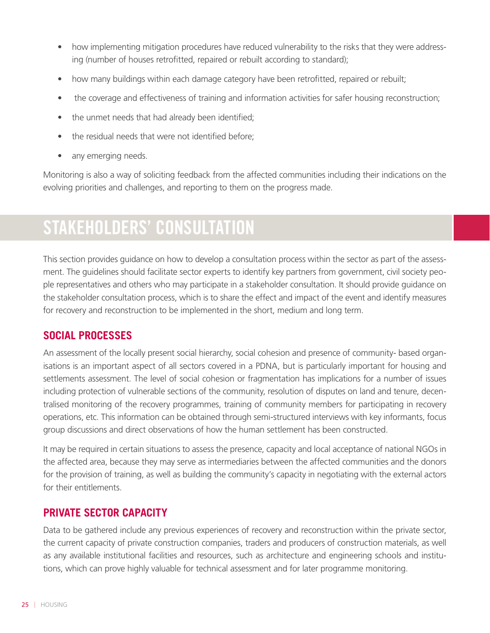- how implementing mitigation procedures have reduced vulnerability to the risks that they were addressing (number of houses retrofitted, repaired or rebuilt according to standard);
- how many buildings within each damage category have been retrofitted, repaired or rebuilt;
- the coverage and effectiveness of training and information activities for safer housing reconstruction;
- the unmet needs that had already been identified;
- the residual needs that were not identified before;
- any emerging needs.

Monitoring is also a way of soliciting feedback from the affected communities including their indications on the evolving priorities and challenges, and reporting to them on the progress made.

# STAKEHOLDERS' CONSULTATION

This section provides guidance on how to develop a consultation process within the sector as part of the assessment. The guidelines should facilitate sector experts to identify key partners from government, civil society people representatives and others who may participate in a stakeholder consultation. It should provide guidance on the stakeholder consultation process, which is to share the effect and impact of the event and identify measures for recovery and reconstruction to be implemented in the short, medium and long term.

### **SOCIAL PROCESSES**

An assessment of the locally present social hierarchy, social cohesion and presence of community- based organisations is an important aspect of all sectors covered in a PDNA, but is particularly important for housing and settlements assessment. The level of social cohesion or fragmentation has implications for a number of issues including protection of vulnerable sections of the community, resolution of disputes on land and tenure, decentralised monitoring of the recovery programmes, training of community members for participating in recovery operations, etc. This information can be obtained through semi-structured interviews with key informants, focus group discussions and direct observations of how the human settlement has been constructed.

It may be required in certain situations to assess the presence, capacity and local acceptance of national NGOs in the affected area, because they may serve as intermediaries between the affected communities and the donors for the provision of training, as well as building the community's capacity in negotiating with the external actors for their entitlements.

### **PRIVATE SECTOR CAPACITY**

Data to be gathered include any previous experiences of recovery and reconstruction within the private sector, the current capacity of private construction companies, traders and producers of construction materials, as well as any available institutional facilities and resources, such as architecture and engineering schools and institutions, which can prove highly valuable for technical assessment and for later programme monitoring.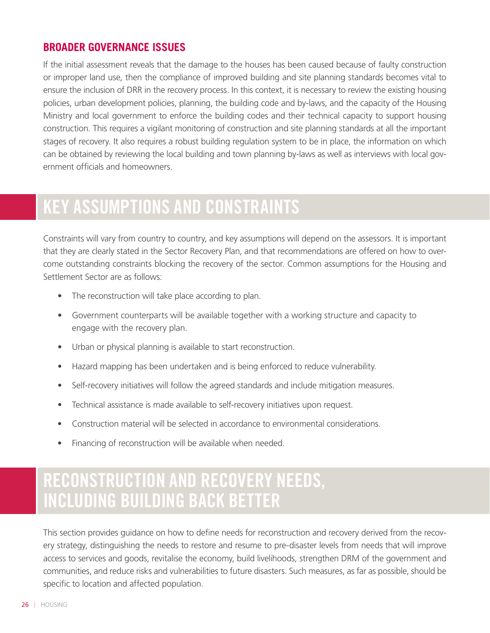### **BROADER GOVERNANCE ISSUES**

If the initial assessment reveals that the damage to the houses has been caused because of faulty construction or improper land use, then the compliance of improved building and site planning standards becomes vital to ensure the inclusion of DRR in the recovery process. In this context, it is necessary to review the existing housing policies, urban development policies, planning, the building code and by-laws, and the capacity of the Housing Ministry and local government to enforce the building codes and their technical capacity to support housing construction. This requires a vigilant monitoring of construction and site planning standards at all the important stages of recovery. It also requires a robust building regulation system to be in place, the information on which can be obtained by reviewing the local building and town planning by-laws as well as interviews with local government officials and homeowners.

## KEY ASSUMPTIONS AND CONSTRAINTS

Constraints will vary from country to country, and key assumptions will depend on the assessors. It is important that they are clearly stated in the Sector Recovery Plan, and that recommendations are offered on how to overcome outstanding constraints blocking the recovery of the sector. Common assumptions for the Housing and Settlement Sector are as follows:

- The reconstruction will take place according to plan.
- Government counterparts will be available together with a working structure and capacity to engage with the recovery plan.
- Urban or physical planning is available to start reconstruction.
- Hazard mapping has been undertaken and is being enforced to reduce vulnerability.
- Self-recovery initiatives will follow the agreed standards and include mitigation measures.
- Technical assistance is made available to self-recovery initiatives upon request.
- Construction material will be selected in accordance to environmental considerations.
- Financing of reconstruction will be available when needed.

# RECONSTRUCTION AND RECOVERY NEEDS, INCLUDING BUILDING BACK BETTER

This section provides guidance on how to define needs for reconstruction and recovery derived from the recovery strategy, distinguishing the needs to restore and resume to pre-disaster levels from needs that will improve access to services and goods, revitalise the economy, build livelihoods, strengthen DRM of the government and communities, and reduce risks and vulnerabilities to future disasters. Such measures, as far as possible, should be specific to location and affected population.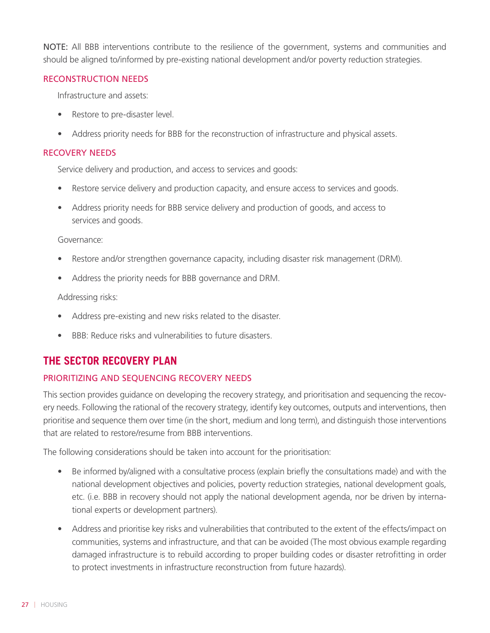NOTE: All BBB interventions contribute to the resilience of the government, systems and communities and should be aligned to/informed by pre-existing national development and/or poverty reduction strategies.

#### RECONSTRUCTION NEEDS

Infrastructure and assets:

- Restore to pre-disaster level.
- Address priority needs for BBB for the reconstruction of infrastructure and physical assets.

#### RECOVERY NEEDS

Service delivery and production, and access to services and goods:

- Restore service delivery and production capacity, and ensure access to services and goods.
- Address priority needs for BBB service delivery and production of goods, and access to services and goods.

Governance:

- Restore and/or strengthen governance capacity, including disaster risk management (DRM).
- Address the priority needs for BBB governance and DRM.

Addressing risks:

- Address pre-existing and new risks related to the disaster.
- BBB: Reduce risks and vulnerabilities to future disasters.

### **THE SECTOR RECOVERY PLAN**

### PRIORITIZING AND SEQUENCING RECOVERY NEEDS

This section provides guidance on developing the recovery strategy, and prioritisation and sequencing the recovery needs. Following the rational of the recovery strategy, identify key outcomes, outputs and interventions, then prioritise and sequence them over time (in the short, medium and long term), and distinguish those interventions that are related to restore/resume from BBB interventions.

The following considerations should be taken into account for the prioritisation:

- Be informed by/aligned with a consultative process (explain briefly the consultations made) and with the national development objectives and policies, poverty reduction strategies, national development goals, etc. (i.e. BBB in recovery should not apply the national development agenda, nor be driven by international experts or development partners).
- Address and prioritise key risks and vulnerabilities that contributed to the extent of the effects/impact on communities, systems and infrastructure, and that can be avoided (The most obvious example regarding damaged infrastructure is to rebuild according to proper building codes or disaster retrofitting in order to protect investments in infrastructure reconstruction from future hazards).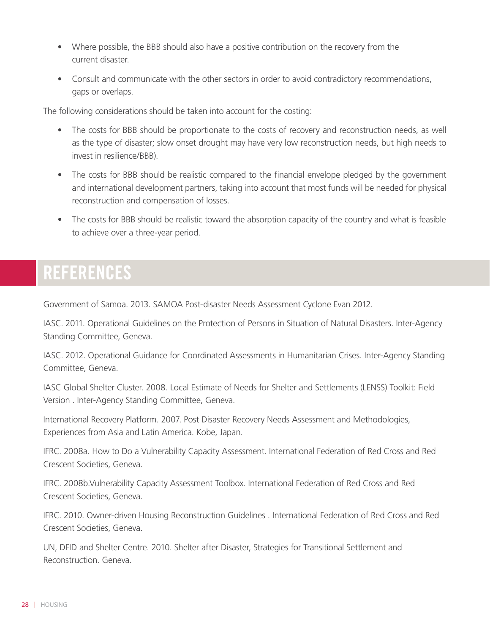- Where possible, the BBB should also have a positive contribution on the recovery from the current disaster.
- Consult and communicate with the other sectors in order to avoid contradictory recommendations, gaps or overlaps.

The following considerations should be taken into account for the costing:

- The costs for BBB should be proportionate to the costs of recovery and reconstruction needs, as well as the type of disaster; slow onset drought may have very low reconstruction needs, but high needs to invest in resilience/BBB).
- The costs for BBB should be realistic compared to the financial envelope pledged by the government and international development partners, taking into account that most funds will be needed for physical reconstruction and compensation of losses.
- The costs for BBB should be realistic toward the absorption capacity of the country and what is feasible to achieve over a three-year period.

# **REFERENCES**

Government of Samoa. 2013. SAMOA Post-disaster Needs Assessment Cyclone Evan 2012.

IASC. 2011. Operational Guidelines on the Protection of Persons in Situation of Natural Disasters. Inter-Agency Standing Committee, Geneva.

IASC. 2012. Operational Guidance for Coordinated Assessments in Humanitarian Crises. Inter-Agency Standing Committee, Geneva.

IASC Global Shelter Cluster. 2008. Local Estimate of Needs for Shelter and Settlements (LENSS) Toolkit: Field Version . Inter-Agency Standing Committee, Geneva.

International Recovery Platform. 2007. Post Disaster Recovery Needs Assessment and Methodologies, Experiences from Asia and Latin America. Kobe, Japan.

IFRC. 2008a. How to Do a Vulnerability Capacity Assessment. International Federation of Red Cross and Red Crescent Societies, Geneva.

IFRC. 2008b.Vulnerability Capacity Assessment Toolbox. International Federation of Red Cross and Red Crescent Societies, Geneva.

IFRC. 2010. Owner-driven Housing Reconstruction Guidelines . International Federation of Red Cross and Red Crescent Societies, Geneva.

UN, DFID and Shelter Centre. 2010. Shelter after Disaster, Strategies for Transitional Settlement and Reconstruction. Geneva.